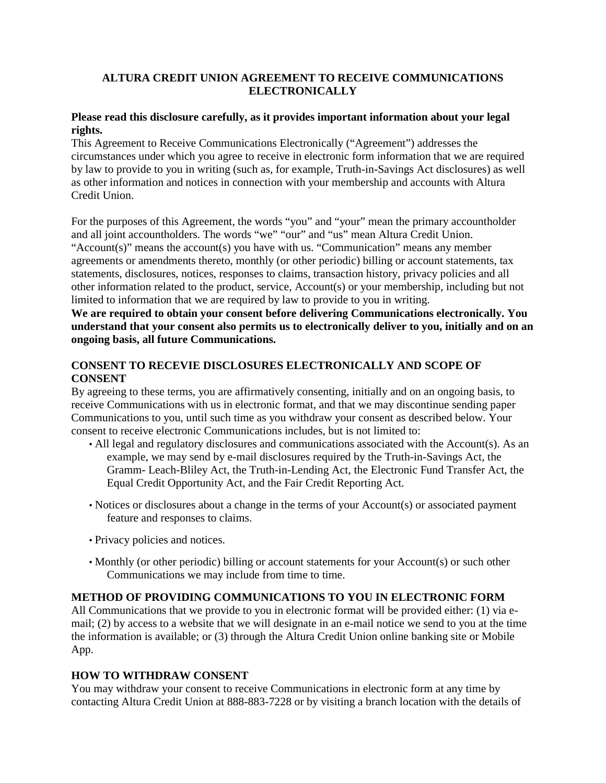### **ALTURA CREDIT UNION AGREEMENT TO RECEIVE COMMUNICATIONS ELECTRONICALLY**

# **Please read this disclosure carefully, as it provides important information about your legal rights.**

This Agreement to Receive Communications Electronically ("Agreement") addresses the circumstances under which you agree to receive in electronic form information that we are required by law to provide to you in writing (such as, for example, Truth-in-Savings Act disclosures) as well as other information and notices in connection with your membership and accounts with Altura Credit Union.

For the purposes of this Agreement, the words "you" and "your" mean the primary accountholder and all joint accountholders. The words "we" "our" and "us" mean Altura Credit Union. "Account(s)" means the account(s) you have with us. "Communication" means any member agreements or amendments thereto, monthly (or other periodic) billing or account statements, tax statements, disclosures, notices, responses to claims, transaction history, privacy policies and all other information related to the product, service, Account(s) or your membership, including but not limited to information that we are required by law to provide to you in writing.

**We are required to obtain your consent before delivering Communications electronically. You understand that your consent also permits us to electronically deliver to you, initially and on an ongoing basis, all future Communications.** 

# **CONSENT TO RECEVIE DISCLOSURES ELECTRONICALLY AND SCOPE OF CONSENT**

By agreeing to these terms, you are affirmatively consenting, initially and on an ongoing basis, to receive Communications with us in electronic format, and that we may discontinue sending paper Communications to you, until such time as you withdraw your consent as described below. Your consent to receive electronic Communications includes, but is not limited to:

- All legal and regulatory disclosures and communications associated with the Account(s). As an example, we may send by e-mail disclosures required by the Truth-in-Savings Act, the Gramm- Leach-Bliley Act, the Truth-in-Lending Act, the Electronic Fund Transfer Act, the Equal Credit Opportunity Act, and the Fair Credit Reporting Act.
- Notices or disclosures about a change in the terms of your Account(s) or associated payment feature and responses to claims.
- Privacy policies and notices.
- Monthly (or other periodic) billing or account statements for your Account(s) or such other Communications we may include from time to time.

#### **METHOD OF PROVIDING COMMUNICATIONS TO YOU IN ELECTRONIC FORM**

All Communications that we provide to you in electronic format will be provided either: (1) via email; (2) by access to a website that we will designate in an e-mail notice we send to you at the time the information is available; or (3) through the Altura Credit Union online banking site or Mobile App.

#### **HOW TO WITHDRAW CONSENT**

You may withdraw your consent to receive Communications in electronic form at any time by contacting Altura Credit Union at 888-883-7228 or by visiting a branch location with the details of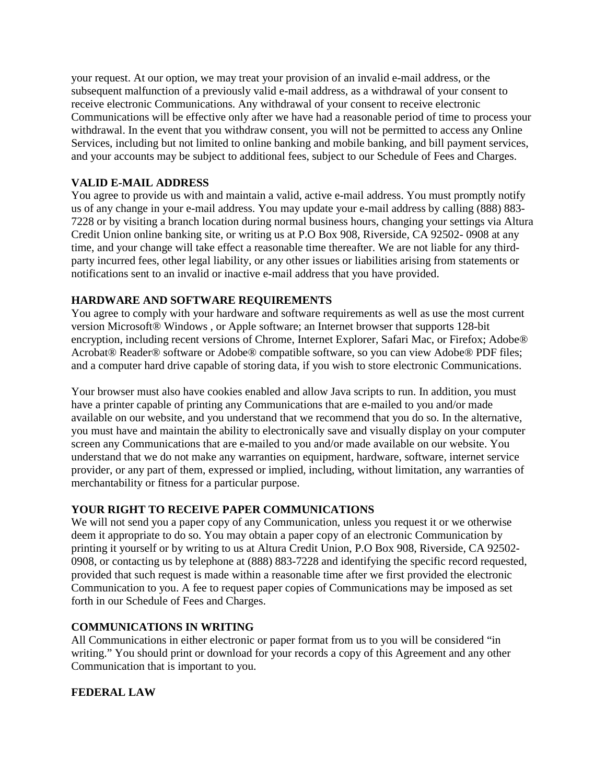your request. At our option, we may treat your provision of an invalid e-mail address, or the subsequent malfunction of a previously valid e-mail address, as a withdrawal of your consent to receive electronic Communications. Any withdrawal of your consent to receive electronic Communications will be effective only after we have had a reasonable period of time to process your withdrawal. In the event that you withdraw consent, you will not be permitted to access any Online Services, including but not limited to online banking and mobile banking, and bill payment services, and your accounts may be subject to additional fees, subject to our Schedule of Fees and Charges.

# **VALID E-MAIL ADDRESS**

You agree to provide us with and maintain a valid, active e-mail address. You must promptly notify us of any change in your e-mail address. You may update your e-mail address by calling (888) 883- 7228 or by visiting a branch location during normal business hours, changing your settings via Altura Credit Union online banking site, or writing us at P.O Box 908, Riverside, CA 92502- 0908 at any time, and your change will take effect a reasonable time thereafter. We are not liable for any thirdparty incurred fees, other legal liability, or any other issues or liabilities arising from statements or notifications sent to an invalid or inactive e-mail address that you have provided.

#### **HARDWARE AND SOFTWARE REQUIREMENTS**

You agree to comply with your hardware and software requirements as well as use the most current version Microsoft® Windows , or Apple software; an Internet browser that supports 128-bit encryption, including recent versions of Chrome, Internet Explorer, Safari Mac, or Firefox; Adobe® Acrobat® Reader® software or Adobe® compatible software, so you can view Adobe® PDF files; and a computer hard drive capable of storing data, if you wish to store electronic Communications.

Your browser must also have cookies enabled and allow Java scripts to run. In addition, you must have a printer capable of printing any Communications that are e-mailed to you and/or made available on our website, and you understand that we recommend that you do so. In the alternative, you must have and maintain the ability to electronically save and visually display on your computer screen any Communications that are e-mailed to you and/or made available on our website. You understand that we do not make any warranties on equipment, hardware, software, internet service provider, or any part of them, expressed or implied, including, without limitation, any warranties of merchantability or fitness for a particular purpose.

#### **YOUR RIGHT TO RECEIVE PAPER COMMUNICATIONS**

We will not send you a paper copy of any Communication, unless you request it or we otherwise deem it appropriate to do so. You may obtain a paper copy of an electronic Communication by printing it yourself or by writing to us at Altura Credit Union, P.O Box 908, Riverside, CA 92502- 0908, or contacting us by telephone at (888) 883-7228 and identifying the specific record requested, provided that such request is made within a reasonable time after we first provided the electronic Communication to you. A fee to request paper copies of Communications may be imposed as set forth in our Schedule of Fees and Charges.

#### **COMMUNICATIONS IN WRITING**

All Communications in either electronic or paper format from us to you will be considered "in writing." You should print or download for your records a copy of this Agreement and any other Communication that is important to you.

#### **FEDERAL LAW**